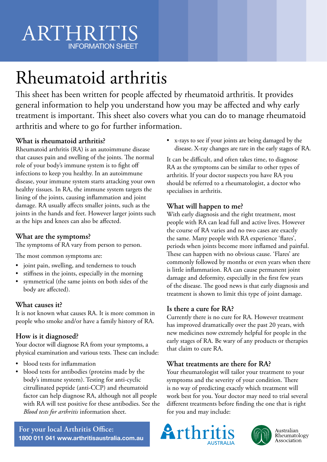# ARTHRITIS INFORMATION SHEET

# Rheumatoid arthritis

This sheet has been written for people affected by rheumatoid arthritis. It provides general information to help you understand how you may be affected and why early treatment is important. This sheet also covers what you can do to manage rheumatoid arthritis and where to go for further information.

## **What is rheumatoid arthritis?**

Rheumatoid arthritis (RA) is an autoimmune disease that causes pain and swelling of the joints. The normal role of your body's immune system is to fight off infections to keep you healthy. In an autoimmune disease, your immune system starts attacking your own healthy tissues. In RA, the immune system targets the lining of the joints, causing inflammation and joint damage. RA usually affects smaller joints, such as the joints in the hands and feet. However larger joints such as the hips and knees can also be affected.

#### **What are the symptoms?**

The symptoms of RA vary from person to person.

The most common symptoms are:

- joint pain, swelling, and tenderness to touch
- stiffness in the joints, especially in the morning
- symmetrical (the same joints on both sides of the body are affected).

#### **What causes it?**

It is not known what causes RA. It is more common in people who smoke and/or have a family history of RA.

## **How is it diagnosed?**

Your doctor will diagnose RA from your symptoms, a physical examination and various tests. These can include:

- blood tests for inflammation
- blood tests for antibodies (proteins made by the body's immune system). Testing for anti-cyclic citrullinated peptide (anti-CCP) and rheumatoid factor can help diagnose RA, although not all people with RA will test positive for these antibodies. See the *Blood tests for arthritis* information sheet.

• x-rays to see if your joints are being damaged by the disease. X-ray changes are rare in the early stages of RA.

It can be difficult, and often takes time, to diagnose RA as the symptoms can be similar to other types of arthritis. If your doctor suspects you have RA you should be referred to a rheumatologist, a doctor who specialises in arthritis.

#### **What will happen to me?**

With early diagnosis and the right treatment, most people with RA can lead full and active lives. However the course of RA varies and no two cases are exactly the same. Many people with RA experience 'flares', periods when joints become more inflamed and painful. These can happen with no obvious cause. 'Flares' are commonly followed by months or even years when there is little inflammation. RA can cause permanent joint damage and deformity, especially in the first few years of the disease. The good news is that early diagnosis and treatment is shown to limit this type of joint damage.

#### **Is there a cure for RA?**

Currently there is no cure for RA. However treatment has improved dramatically over the past 20 years, with new medicines now extremely helpful for people in the early stages of RA. Be wary of any products or therapies that claim to cure RA.

#### **What treatments are there for RA?**

Your rheumatologist will tailor your treatment to your symptoms and the severity of your condition. There is no way of predicting exactly which treatment will work best for you. Your doctor may need to trial several different treatments before finding the one that is right for you and may include:





Australian<br>Rheumatology Association

**For your local Arthritis Office: 1800 011 041 www.arthritisaustralia.com.au**